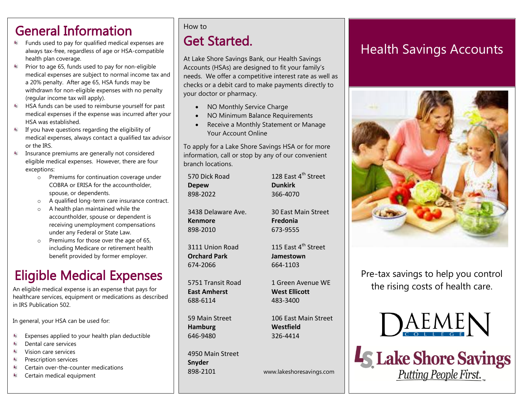#### General Information

- Funds used to pay for qualified medical expenses are  $I_S$ always tax-free, regardless of age or HSA-compatible health plan coverage.
- Prior to age 65, funds used to pay for non-eligible medical expenses are subject to normal income tax and a 20% penalty. After age 65, HSA funds may be withdrawn for non-eligible expenses with no penalty (regular income tax will apply).
- $L_S$ HSA funds can be used to reimburse yourself for past medical expenses if the expense was incurred after your HSA was established.
- $L_S$ If you have questions regarding the eligibility of medical expenses, always contact a qualified tax advisor or the IRS.
- Insurance premiums are generally not considered  $L_S$ eligible medical expenses. However, there are four exceptions:
	- o Premiums for continuation coverage under COBRA or ERISA for the accountholder, spouse, or dependents.
	- o A qualified long-term care insurance contract.
	- A health plan maintained while the accountholder, spouse or dependent is receiving unemployment compensations under any Federal or State Law.
	- Premiums for those over the age of 65, including Medicare or retirement health benefit provided by former employer.

# Eligible Medical Expenses

An eligible medical expense is an expense that pays for healthcare services, equipment or medications as described in IRS Publication 502.

In general, your HSA can be used for:

- Expenses applied to your health plan deductible  $I_{5}$
- $\mathbf{I}_{\mathcal{S}}$ Dental care services
- $I_{5}$ Vision care services
- $I_{S}$ Prescription services
- $\mathbf{l}_{\mathcal{S}}$ Certain over-the-counter medications
- $I_{S}$ Certain medical equipment

#### How to

### Get Started.

At Lake Shore Savings Bank, our Health Savings Accounts (HSAs) are designed to fit your family's needs. We offer a competitive interest rate as well as checks or a debit card to make payments directly to your doctor or pharmacy.

- NO Monthly Service Charge
- NO Minimum Balance Requirements
- Receive a Monthly Statement or Manage Your Account Online

To apply for a Lake Shore Savings HSA or for more information, call or stop by any of our convenient branch locations.

| 570 Dick Road<br>Depew<br>898-2022        | 128 East 4 <sup>th</sup> Street<br><b>Dunkirk</b><br>366-4070<br>30 East Main Street<br><b>Fredonia</b><br>673-9555 |  |
|-------------------------------------------|---------------------------------------------------------------------------------------------------------------------|--|
| 3438 Delaware Ave.<br>Kenmore<br>898-2010 |                                                                                                                     |  |
| 3111 Union Road                           | 115 East 4 <sup>th</sup> Street                                                                                     |  |
| <b>Orchard Park</b>                       | Jamestown                                                                                                           |  |
| 674-2066                                  | 664-1103                                                                                                            |  |
| 5751 Transit Road                         | 1 Green Avenue WE                                                                                                   |  |
| <b>East Amherst</b>                       | <b>West Ellicott</b>                                                                                                |  |
| 688-6114                                  | 483-3400                                                                                                            |  |
| 59 Main Street                            | 106 East Main Street                                                                                                |  |
| <b>Hamburg</b>                            | Westfield                                                                                                           |  |
| 646-9480                                  | 326-4414                                                                                                            |  |

4950 Main Street **Snyder** 898-2101 www.lakeshoresavings.com

# Health Savings Accounts



Pre-tax savings to help you control the rising costs of health care.



**LS Lake Shore Savings** Putting People First.